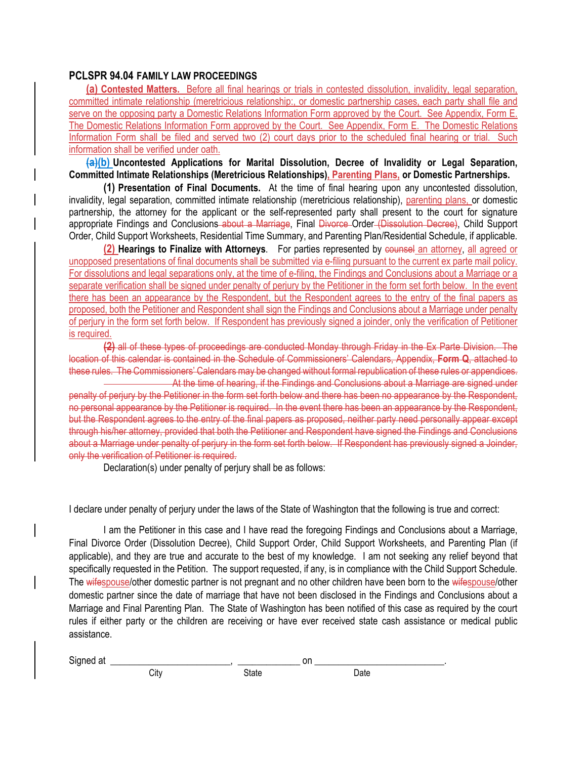### **PCLSPR 94.04 FAMILY LAW PROCEEDINGS**

**(a) Contested Matters.** Before all final hearings or trials in contested dissolution, invalidity, legal separation, committed intimate relationship (meretricious relationship:, or domestic partnership cases, each party shall file and serve on the opposing party a Domestic Relations Information Form approved by the Court. See Appendix, Form E. The Domestic Relations Information Form approved by the Court. See Appendix, Form E. The Domestic Relations Information Form shall be filed and served two (2) court days prior to the scheduled final hearing or trial. Such information shall be verified under oath.

**(a)(b) Uncontested Applications for Marital Dissolution, Decree of Invalidity or Legal Separation, Committed Intimate Relationships (Meretricious Relationships), Parenting Plans, or Domestic Partnerships.** 

**(1) Presentation of Final Documents.** At the time of final hearing upon any uncontested dissolution, invalidity, legal separation, committed intimate relationship (meretricious relationship), parenting plans, or domestic partnership, the attorney for the applicant or the self-represented party shall present to the court for signature appropriate Findings and Conclusions about a Marriage, Final Divorce Order (Dissolution Decree), Child Support Order, Child Support Worksheets, Residential Time Summary, and Parenting Plan/Residential Schedule, if applicable.

**(2) Hearings to Finalize with Attorneys**. For parties represented by counsel an attorney, all agreed or unopposed presentations of final documents shall be submitted via e-filing pursuant to the current ex parte mail policy. For dissolutions and legal separations only, at the time of e-filing, the Findings and Conclusions about a Marriage or a separate verification shall be signed under penalty of perjury by the Petitioner in the form set forth below. In the event there has been an appearance by the Respondent, but the Respondent agrees to the entry of the final papers as proposed, both the Petitioner and Respondent shall sign the Findings and Conclusions about a Marriage under penalty of perjury in the form set forth below. If Respondent has previously signed a joinder, only the verification of Petitioner is required.

**(2)** all of these types of proceedings are conducted Monday through Friday in the Ex Parte Division. The location of this calendar is contained in the Schedule of Commissioners' Calendars, Appendix, **Form Q**, attached to these rules. The Commissioners' Calendars may be changed without formal republication of these rules or appendices.

At the time of hearing, if the Findings and Conclusions about a Marriage are signed under penalty of perjury by the Petitioner in the form set forth below and there has been no appearance by the Respondent, no personal appearance by the Petitioner is required. In the event there has been an appearance by the Respondent, but the Respondent agrees to the entry of the final papers as proposed, neither party need personally appear except through his/her attorney, provided that both the Petitioner and Respondent have signed the Findings and Conclusions about a Marriage under penalty of perjury in the form set forth below. If Respondent has previously signed a Joinder, only the verification of Petitioner is required.

Declaration(s) under penalty of perjury shall be as follows:

I declare under penalty of perjury under the laws of the State of Washington that the following is true and correct:

 I am the Petitioner in this case and I have read the foregoing Findings and Conclusions about a Marriage, Final Divorce Order (Dissolution Decree), Child Support Order, Child Support Worksheets, and Parenting Plan (if applicable), and they are true and accurate to the best of my knowledge. I am not seeking any relief beyond that specifically requested in the Petition. The support requested, if any, is in compliance with the Child Support Schedule. The wifespouse/other domestic partner is not pregnant and no other children have been born to the wifespouse/other domestic partner since the date of marriage that have not been disclosed in the Findings and Conclusions about a Marriage and Final Parenting Plan. The State of Washington has been notified of this case as required by the court rules if either party or the children are receiving or have ever received state cash assistance or medical public assistance.

Signed at \_\_\_\_\_\_\_\_\_\_\_\_\_\_\_\_\_\_\_\_\_\_\_\_\_, \_\_\_\_\_\_\_\_\_\_\_\_\_ on \_\_\_\_\_\_\_\_\_\_\_\_\_\_\_\_\_\_\_\_\_\_\_\_\_\_\_.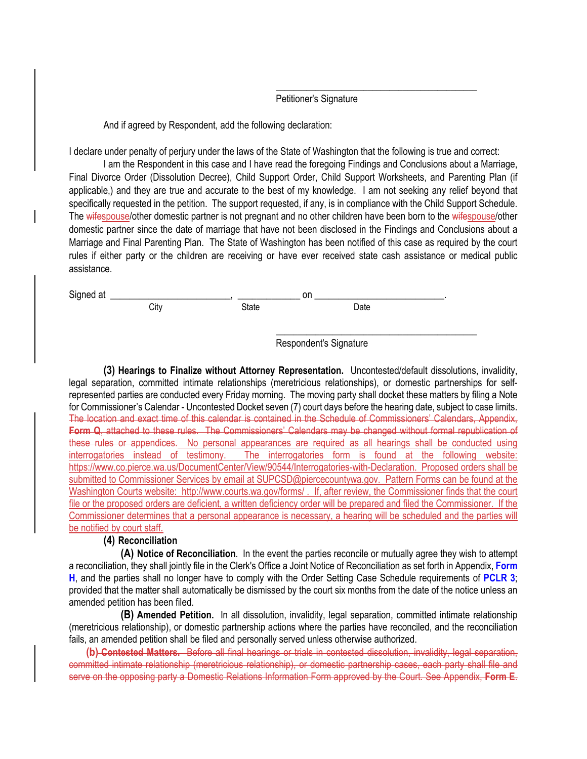#### Petitioner's Signature

And if agreed by Respondent, add the following declaration:

I declare under penalty of perjury under the laws of the State of Washington that the following is true and correct:

 $\frac{1}{\sqrt{2}}$  , and the state of the state of the state of the state of the state of the state of the state of the state of the state of the state of the state of the state of the state of the state of the state of the sta

 I am the Respondent in this case and I have read the foregoing Findings and Conclusions about a Marriage, Final Divorce Order (Dissolution Decree), Child Support Order, Child Support Worksheets, and Parenting Plan (if applicable,) and they are true and accurate to the best of my knowledge. I am not seeking any relief beyond that specifically requested in the petition. The support requested, if any, is in compliance with the Child Support Schedule. The wifespouse/other domestic partner is not pregnant and no other children have been born to the wifespouse/other domestic partner since the date of marriage that have not been disclosed in the Findings and Conclusions about a Marriage and Final Parenting Plan. The State of Washington has been notified of this case as required by the court rules if either party or the children are receiving or have ever received state cash assistance or medical public assistance.

 $\frac{1}{\sqrt{2}}$  , and the set of the set of the set of the set of the set of the set of the set of the set of the set of the set of the set of the set of the set of the set of the set of the set of the set of the set of the

Signed at \_\_\_\_\_\_\_\_\_\_\_\_\_\_\_\_\_\_\_\_\_\_\_\_\_, \_\_\_\_\_\_\_\_\_\_\_\_\_ on \_\_\_\_\_\_\_\_\_\_\_\_\_\_\_\_\_\_\_\_\_\_\_\_\_\_\_.

City **State** State Date

Respondent's Signature

**(3) Hearings to Finalize without Attorney Representation.** Uncontested/default dissolutions, invalidity, legal separation, committed intimate relationships (meretricious relationships), or domestic partnerships for selfrepresented parties are conducted every Friday morning. The moving party shall docket these matters by filing a Note for Commissioner's Calendar - Uncontested Docket seven (7) court days before the hearing date, subject to case limits. The location and exact time of this calendar is contained in the Schedule of Commissioners' Calendars, Appendix, **Form Q**, attached to these rules. The Commissioners' Calendars may be changed without formal republication of these rules or appendices. No personal appearances are required as all hearings shall be conducted using<br>interrogatories instead of testimony. The interrogatories form is found at the following website: The interrogatories form is found at the following website: https://www.co.pierce.wa.us/DocumentCenter/View/90544/Interrogatories-with-Declaration. Proposed orders shall be submitted to Commissioner Services by email at SUPCSD@piercecountywa.gov. Pattern Forms can be found at the Washington Courts website: http://www.courts.wa.gov/forms/ . If, after review, the Commissioner finds that the court file or the proposed orders are deficient, a written deficiency order will be prepared and filed the Commissioner. If the Commissioner determines that a personal appearance is necessary, a hearing will be scheduled and the parties will be notified by court staff.

## **(4) Reconciliation**

**(A) Notice of Reconciliation**. In the event the parties reconcile or mutually agree they wish to attempt a reconciliation, they shall jointly file in the Clerk's Office a Joint Notice of Reconciliation as set forth in Appendix, **Form H**, and the parties shall no longer have to comply with the Order Setting Case Schedule requirements of **PCLR 3**; provided that the matter shall automatically be dismissed by the court six months from the date of the notice unless an amended petition has been filed.

**(B) Amended Petition.** In all dissolution, invalidity, legal separation, committed intimate relationship (meretricious relationship), or domestic partnership actions where the parties have reconciled, and the reconciliation fails, an amended petition shall be filed and personally served unless otherwise authorized.

**(b) Contested Matters.** Before all final hearings or trials in contested dissolution, invalidity, legal separation, committed intimate relationship (meretricious relationship), or domestic partnership cases, each party shall file and serve on the opposing party a Domestic Relations Information Form approved by the Court. See Appendix, **Form E**.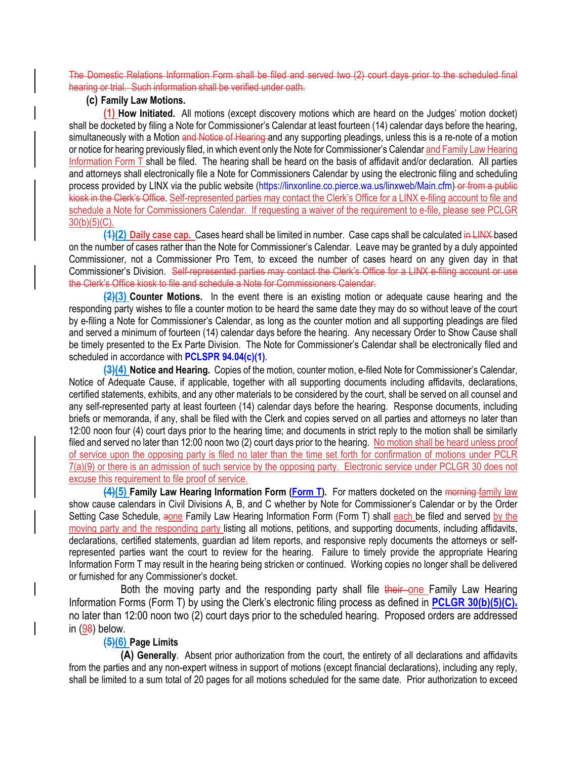The Domestic Relations Information Form shall be filed and served two (2) court days prior to the scheduled final hearing or trial. Such information shall be verified under oath.

## **(c) Family Law Motions.**

**(1) How Initiated.** All motions (except discovery motions which are heard on the Judges' motion docket) shall be docketed by filing a Note for Commissioner's Calendar at least fourteen (14) calendar days before the hearing, simultaneously with a Motion and Notice of Hearing and any supporting pleadings, unless this is a re-note of a motion or notice for hearing previously filed, in which event only the Note for Commissioner's Calendar and Family Law Hearing Information Form T shall be filed. The hearing shall be heard on the basis of affidavit and/or declaration. All parties and attorneys shall electronically file a Note for Commissioners Calendar by using the electronic filing and scheduling process provided by LINX via the public website (https://linxonline.co.pierce.wa.us/linxweb/Main.cfm) or from a public kiosk in the Clerk's Office. Self-represented parties may contact the Clerk's Office for a LINX e-filing account to file and schedule a Note for Commissioners Calendar. If requesting a waiver of the requirement to e-file, please see PCLGR  $30(b)(5)(C)$ .

**(1)(2) Daily case cap.** Cases heard shall be limited in number. Case caps shall be calculated in LINX based on the number of cases rather than the Note for Commissioner's Calendar. Leave may be granted by a duly appointed Commissioner, not a Commissioner Pro Tem, to exceed the number of cases heard on any given day in that Commissioner's Division. Self-represented parties may contact the Clerk's Office for a LINX e-filing account or use the Clerk's Office kiosk to file and schedule a Note for Commissioners Calendar.

**(2)(3) Counter Motions.** In the event there is an existing motion or adequate cause hearing and the responding party wishes to file a counter motion to be heard the same date they may do so without leave of the court by e-filing a Note for Commissioner's Calendar, as long as the counter motion and all supporting pleadings are filed and served a minimum of fourteen (14) calendar days before the hearing. Any necessary Order to Show Cause shall be timely presented to the Ex Parte Division. The Note for Commissioner's Calendar shall be electronically filed and scheduled in accordance with **PCLSPR 94.04(c)(1)**.

**(3)(4) Notice and Hearing.** Copies of the motion, counter motion, e-filed Note for Commissioner's Calendar, Notice of Adequate Cause, if applicable, together with all supporting documents including affidavits, declarations, certified statements, exhibits, and any other materials to be considered by the court, shall be served on all counsel and any self-represented party at least fourteen (14) calendar days before the hearing. Response documents, including briefs or memoranda, if any, shall be filed with the Clerk and copies served on all parties and attorneys no later than 12:00 noon four (4) court days prior to the hearing time; and documents in strict reply to the motion shall be similarly filed and served no later than 12:00 noon two (2) court days prior to the hearing. No motion shall be heard unless proof of service upon the opposing party is filed no later than the time set forth for confirmation of motions under PCLR 7(a)(9) or there is an admission of such service by the opposing party. Electronic service under PCLGR 30 does not excuse this requirement to file proof of service.

**(4)(5)** Family Law Hearing Information Form (Form T). For matters docketed on the morning family law show cause calendars in Civil Divisions A, B, and C whether by Note for Commissioner's Calendar or by the Order Setting Case Schedule, aone Family Law Hearing Information Form (Form T) shall each be filed and served by the moving party and the responding party listing all motions, petitions, and supporting documents, including affidavits, declarations, certified statements, guardian ad litem reports, and responsive reply documents the attorneys or selfrepresented parties want the court to review for the hearing. Failure to timely provide the appropriate Hearing Information Form T may result in the hearing being stricken or continued. Working copies no longer shall be delivered or furnished for any Commissioner's docket.

Both the moving party and the responding party shall file their one Family Law Hearing Information Forms (Form T) by using the Clerk's electronic filing process as defined in **PCLGR 30(b)(5)(C).** no later than 12:00 noon two (2) court days prior to the scheduled hearing. Proposed orders are addressed in (98) below.

### **(5)(6) Page Limits**

**(A) Generally**. Absent prior authorization from the court, the entirety of all declarations and affidavits from the parties and any non-expert witness in support of motions (except financial declarations), including any reply, shall be limited to a sum total of 20 pages for all motions scheduled for the same date. Prior authorization to exceed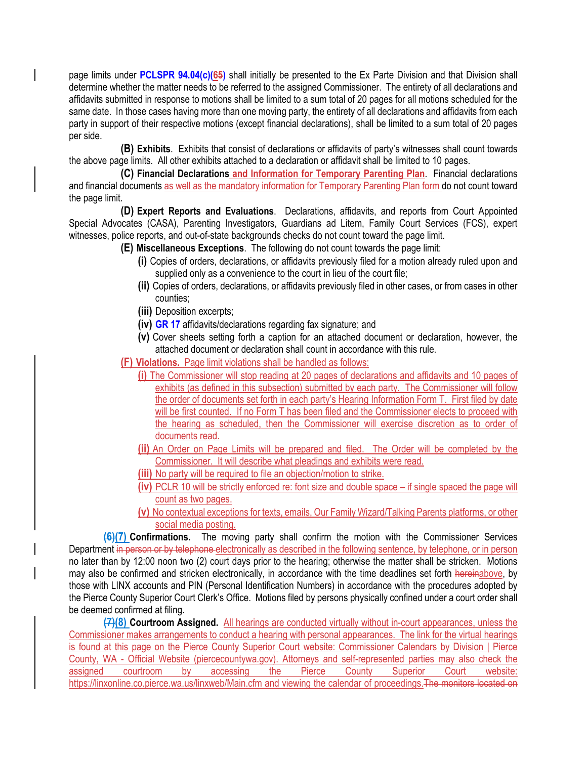page limits under **PCLSPR 94.04(c)(65)** shall initially be presented to the Ex Parte Division and that Division shall determine whether the matter needs to be referred to the assigned Commissioner. The entirety of all declarations and affidavits submitted in response to motions shall be limited to a sum total of 20 pages for all motions scheduled for the same date. In those cases having more than one moving party, the entirety of all declarations and affidavits from each party in support of their respective motions (except financial declarations), shall be limited to a sum total of 20 pages per side.

**(B) Exhibits**. Exhibits that consist of declarations or affidavits of party's witnesses shall count towards the above page limits. All other exhibits attached to a declaration or affidavit shall be limited to 10 pages.

**(C) Financial Declarations and Information for Temporary Parenting Plan**. Financial declarations and financial documents as well as the mandatory information for Temporary Parenting Plan form do not count toward the page limit.

**(D) Expert Reports and Evaluations**. Declarations, affidavits, and reports from Court Appointed Special Advocates (CASA), Parenting Investigators, Guardians ad Litem, Family Court Services (FCS), expert witnesses, police reports, and out-of-state backgrounds checks do not count toward the page limit.

**(E) Miscellaneous Exceptions**. The following do not count towards the page limit:

- **(i)** Copies of orders, declarations, or affidavits previously filed for a motion already ruled upon and supplied only as a convenience to the court in lieu of the court file;
- **(ii)** Copies of orders, declarations, or affidavits previously filed in other cases, or from cases in other counties;
- **(iii)** Deposition excerpts;
- **(iv) GR 17** affidavits/declarations regarding fax signature; and
- **(v)** Cover sheets setting forth a caption for an attached document or declaration, however, the attached document or declaration shall count in accordance with this rule.

**(F) Violations.** Page limit violations shall be handled as follows:

- **(i)** The Commissioner will stop reading at 20 pages of declarations and affidavits and 10 pages of exhibits (as defined in this subsection) submitted by each party. The Commissioner will follow the order of documents set forth in each party's Hearing Information Form T. First filed by date will be first counted. If no Form T has been filed and the Commissioner elects to proceed with the hearing as scheduled, then the Commissioner will exercise discretion as to order of documents read.
- **(ii)** An Order on Page Limits will be prepared and filed. The Order will be completed by the Commissioner. It will describe what pleadings and exhibits were read.
- **(iii)** No party will be required to file an objection/motion to strike.
- **(iv)** PCLR 10 will be strictly enforced re: font size and double space if single spaced the page will count as two pages.
- **(v)** No contextual exceptions for texts, emails, Our Family Wizard/Talking Parents platforms, or other social media posting.

**(6)(7) Confirmations.** The moving party shall confirm the motion with the Commissioner Services Department in person or by telephone electronically as described in the following sentence, by telephone, or in person no later than by 12:00 noon two (2) court days prior to the hearing; otherwise the matter shall be stricken. Motions may also be confirmed and stricken electronically, in accordance with the time deadlines set forth hereinabove, by those with LINX accounts and PIN (Personal Identification Numbers) in accordance with the procedures adopted by the Pierce County Superior Court Clerk's Office. Motions filed by persons physically confined under a court order shall be deemed confirmed at filing.

**(7)(8) Courtroom Assigned.** All hearings are conducted virtually without in-court appearances, unless the Commissioner makes arrangements to conduct a hearing with personal appearances. The link for the virtual hearings is found at this page on the Pierce County Superior Court website: Commissioner Calendars by Division | Pierce County, WA - Official Website (piercecountywa.gov). Attorneys and self-represented parties may also check the assigned courtroom by accessing the Pierce County Superior Court website: https://linxonline.co.pierce.wa.us/linxweb/Main.cfm and viewing the calendar of proceedings. The monitors located on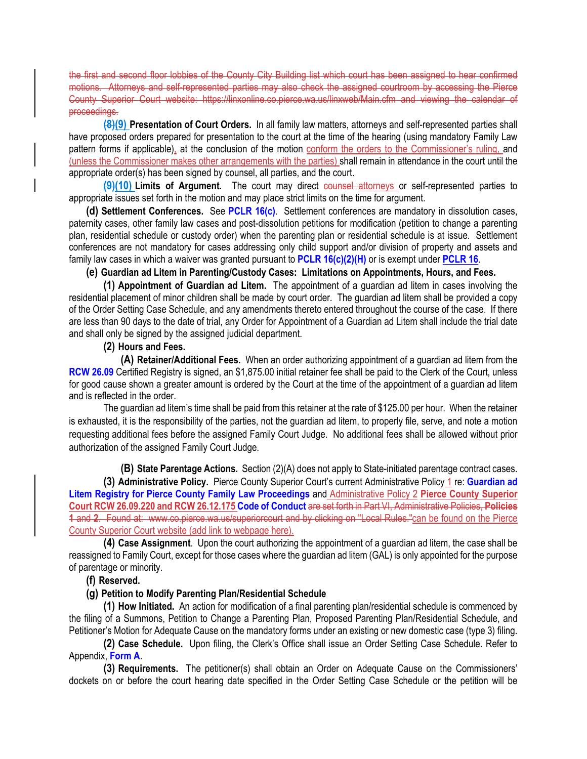the first and second floor lobbies of the County City Building list which court has been assigned to hear confirmed motions. Attorneys and self-represented parties may also check the assigned courtroom by accessing the Pierce County Superior Court website: https://linxonline.co.pierce.wa.us/linxweb/Main.cfm and viewing the calendar of proceedings.

**(8)(9) Presentation of Court Orders.** In all family law matters, attorneys and self-represented parties shall have proposed orders prepared for presentation to the court at the time of the hearing (using mandatory Family Law pattern forms if applicable), at the conclusion of the motion conform the orders to the Commissioner's ruling, and (unless the Commissioner makes other arrangements with the parties) shall remain in attendance in the court until the appropriate order(s) has been signed by counsel, all parties, and the court.

**(9)(10) Limits of Argument.** The court may direct counsel attorneys or self-represented parties to appropriate issues set forth in the motion and may place strict limits on the time for argument.

**(d) Settlement Conferences.** See **PCLR 16(c)**. Settlement conferences are mandatory in dissolution cases, paternity cases, other family law cases and post-dissolution petitions for modification (petition to change a parenting plan, residential schedule or custody order) when the parenting plan or residential schedule is at issue. Settlement conferences are not mandatory for cases addressing only child support and/or division of property and assets and family law cases in which a waiver was granted pursuant to **PCLR 16(c)(2)(H)** or is exempt under **PCLR 16**.

## **(e) Guardian ad Litem in Parenting/Custody Cases: Limitations on Appointments, Hours, and Fees.**

**(1) Appointment of Guardian ad Litem.** The appointment of a guardian ad litem in cases involving the residential placement of minor children shall be made by court order. The guardian ad litem shall be provided a copy of the Order Setting Case Schedule, and any amendments thereto entered throughout the course of the case. If there are less than 90 days to the date of trial, any Order for Appointment of a Guardian ad Litem shall include the trial date and shall only be signed by the assigned judicial department.

## **(2) Hours and Fees.**

**(A) Retainer/Additional Fees.** When an order authorizing appointment of a guardian ad litem from the **RCW 26.09** Certified Registry is signed, an \$1,875.00 initial retainer fee shall be paid to the Clerk of the Court, unless for good cause shown a greater amount is ordered by the Court at the time of the appointment of a guardian ad litem and is reflected in the order.

 The guardian ad litem's time shall be paid from this retainer at the rate of \$125.00 per hour. When the retainer is exhausted, it is the responsibility of the parties, not the guardian ad litem, to properly file, serve, and note a motion requesting additional fees before the assigned Family Court Judge. No additional fees shall be allowed without prior authorization of the assigned Family Court Judge.

**(B) State Parentage Actions.** Section (2)(A) does not apply to State-initiated parentage contract cases. **(3) Administrative Policy.** Pierce County Superior Court's current Administrative Policy 1 re: **Guardian ad Litem Registry for Pierce County Family Law Proceedings** and Administrative Policy 2 **Pierce County Superior Court RCW 26.09.220 and RCW 26.12.175 Code of Conduct** are set forth in Part VI, Administrative Policies, **Policies 1** and **2**. Found at: www.co.pierce.wa.us/superiorcourt and by clicking on "Local Rules."can be found on the Pierce County Superior Court website (add link to webpage here).

**(4) Case Assignment**. Upon the court authorizing the appointment of a guardian ad litem, the case shall be reassigned to Family Court, except for those cases where the guardian ad litem (GAL) is only appointed for the purpose of parentage or minority.

## **(f) Reserved.**

## **(g) Petition to Modify Parenting Plan/Residential Schedule**

**(1) How Initiated.** An action for modification of a final parenting plan/residential schedule is commenced by the filing of a Summons, Petition to Change a Parenting Plan, Proposed Parenting Plan/Residential Schedule, and Petitioner's Motion for Adequate Cause on the mandatory forms under an existing or new domestic case (type 3) filing.

**(2) Case Schedule.** Upon filing, the Clerk's Office shall issue an Order Setting Case Schedule. Refer to Appendix, **Form A**.

**(3) Requirements.** The petitioner(s) shall obtain an Order on Adequate Cause on the Commissioners' dockets on or before the court hearing date specified in the Order Setting Case Schedule or the petition will be